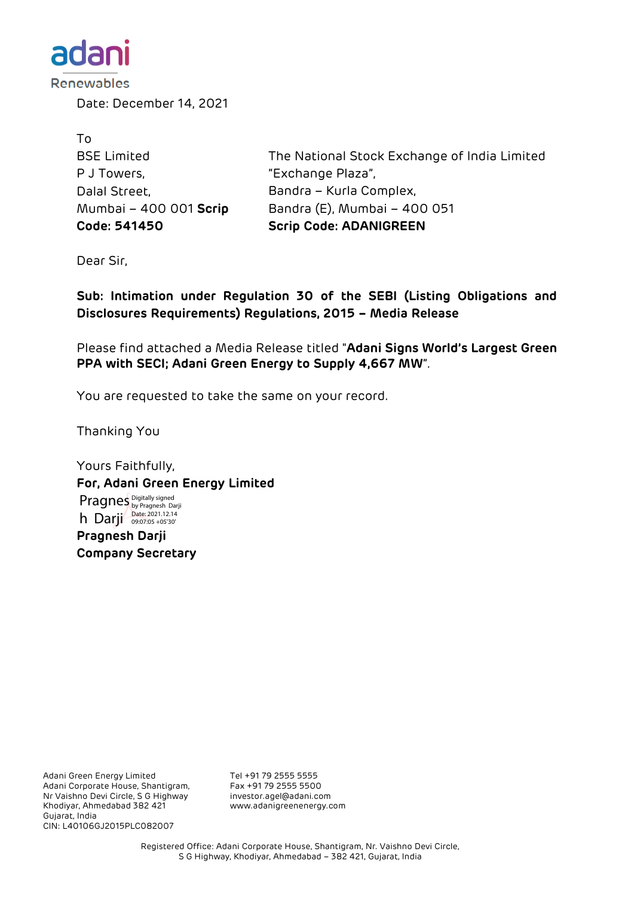

Date: December 14, 2021

| Code: 541450           | <b>Scrip Code: ADANIGREEN</b>                |
|------------------------|----------------------------------------------|
| Mumbai - 400 001 Scrip | Bandra (E), Mumbai - 400 051                 |
| Dalal Street,          | Bandra – Kurla Complex,                      |
| P J Towers,            | "Exchange Plaza",                            |
| <b>BSE Limited</b>     | The National Stock Exchange of India Limited |
| Τo                     |                                              |

Dear Sir,

**Sub: Intimation under Regulation 30 of the SEBI (Listing Obligations and Disclosures Requirements) Regulations, 2015 – Media Release**

Please find attached a Media Release titled "**Adani Signs World's Largest Green PPA with SECI; Adani Green Energy to Supply 4,667 MW**".

You are requested to take the same on your record.

Thanking You

Yours Faithfully, **For, Adani Green Energy Limited Pragnesh Darji Company Secretary** Pragnes Digitally signed h Darji Date: 2021.12.14

Adani Green Energy Limited Tel +91 79 2555 5555<br>Adani Corporate House, Shantigram, Fax +91 79 2555 5500 Adani Corporate House, Shantigram, Fax +91 79 2555 5500 Nr Vaishno Devi Circle, S G Highway Khodiyar, Ahmedabad 382 421 www.adanigreenenergy.com Gujarat, India CIN: L40106GJ2015PLC082007